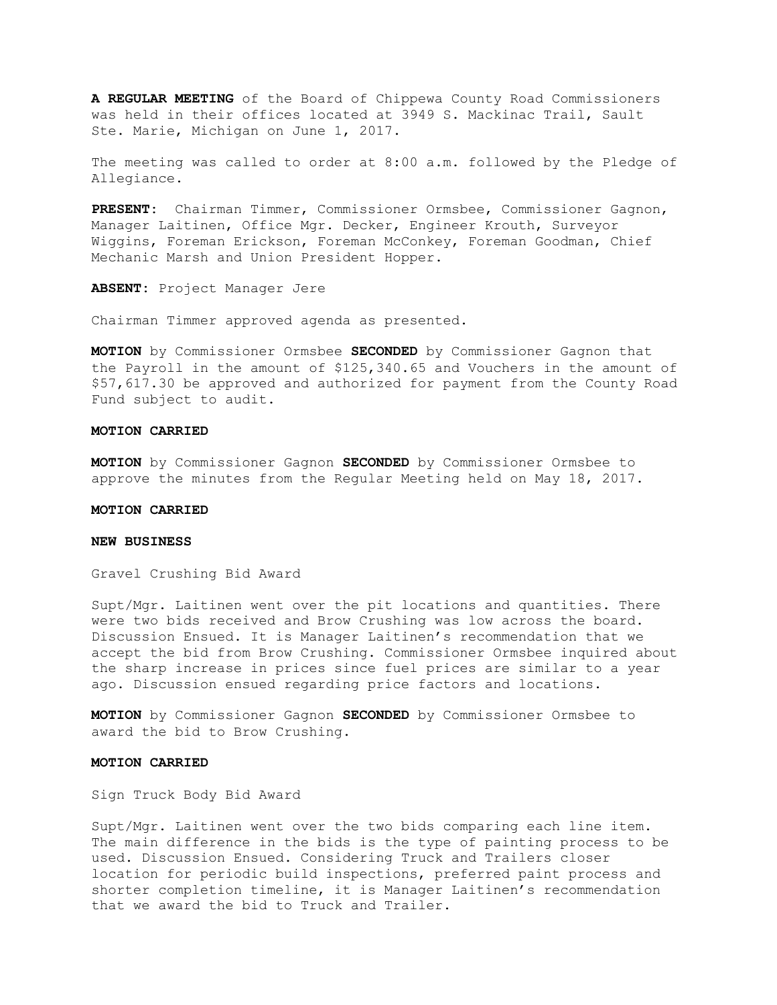**A REGULAR MEETING** of the Board of Chippewa County Road Commissioners was held in their offices located at 3949 S. Mackinac Trail, Sault Ste. Marie, Michigan on June 1, 2017.

The meeting was called to order at 8:00 a.m. followed by the Pledge of Allegiance.

**PRESENT:** Chairman Timmer, Commissioner Ormsbee, Commissioner Gagnon, Manager Laitinen, Office Mgr. Decker, Engineer Krouth, Surveyor Wiggins, Foreman Erickson, Foreman McConkey, Foreman Goodman, Chief Mechanic Marsh and Union President Hopper.

**ABSENT:** Project Manager Jere

Chairman Timmer approved agenda as presented.

**MOTION** by Commissioner Ormsbee **SECONDED** by Commissioner Gagnon that the Payroll in the amount of \$125,340.65 and Vouchers in the amount of \$57,617.30 be approved and authorized for payment from the County Road Fund subject to audit.

#### **MOTION CARRIED**

**MOTION** by Commissioner Gagnon **SECONDED** by Commissioner Ormsbee to approve the minutes from the Regular Meeting held on May 18, 2017.

## **MOTION CARRIED**

## **NEW BUSINESS**

Gravel Crushing Bid Award

Supt/Mgr. Laitinen went over the pit locations and quantities. There were two bids received and Brow Crushing was low across the board. Discussion Ensued. It is Manager Laitinen's recommendation that we accept the bid from Brow Crushing. Commissioner Ormsbee inquired about the sharp increase in prices since fuel prices are similar to a year ago. Discussion ensued regarding price factors and locations.

**MOTION** by Commissioner Gagnon **SECONDED** by Commissioner Ormsbee to award the bid to Brow Crushing.

#### **MOTION CARRIED**

Sign Truck Body Bid Award

Supt/Mgr. Laitinen went over the two bids comparing each line item. The main difference in the bids is the type of painting process to be used. Discussion Ensued. Considering Truck and Trailers closer location for periodic build inspections, preferred paint process and shorter completion timeline, it is Manager Laitinen's recommendation that we award the bid to Truck and Trailer.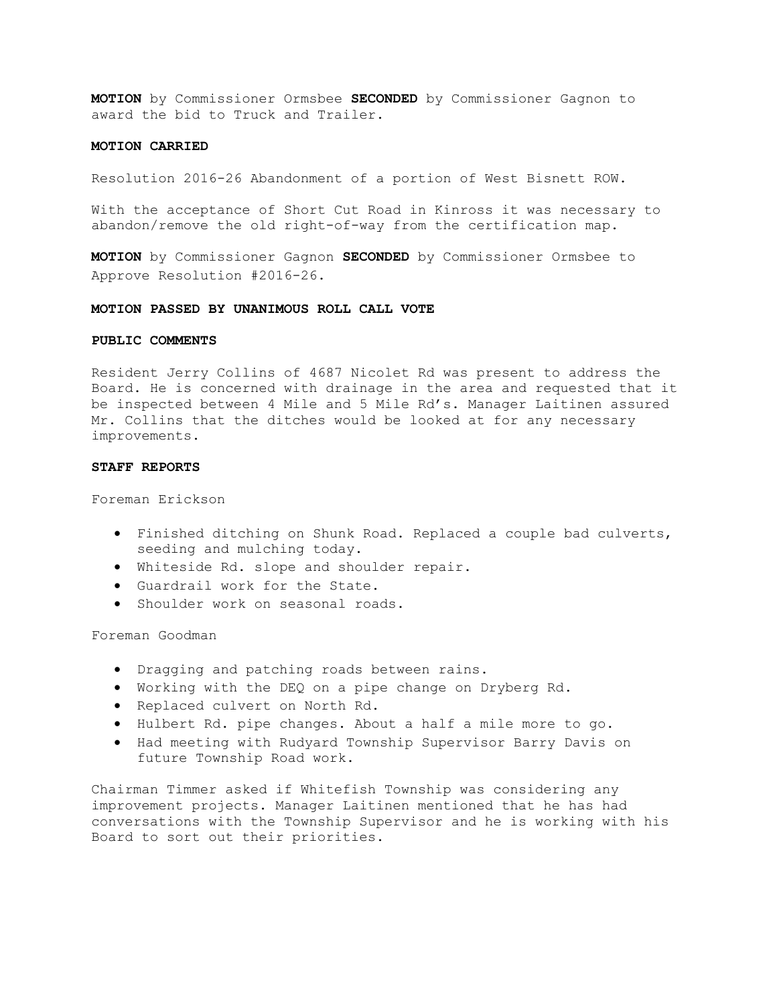**MOTION** by Commissioner Ormsbee **SECONDED** by Commissioner Gagnon to award the bid to Truck and Trailer.

## **MOTION CARRIED**

Resolution 2016-26 Abandonment of a portion of West Bisnett ROW.

With the acceptance of Short Cut Road in Kinross it was necessary to abandon/remove the old right-of-way from the certification map.

**MOTION** by Commissioner Gagnon **SECONDED** by Commissioner Ormsbee to Approve Resolution #2016-26.

#### **MOTION PASSED BY UNANIMOUS ROLL CALL VOTE**

## **PUBLIC COMMENTS**

Resident Jerry Collins of 4687 Nicolet Rd was present to address the Board. He is concerned with drainage in the area and requested that it be inspected between 4 Mile and 5 Mile Rd's. Manager Laitinen assured Mr. Collins that the ditches would be looked at for any necessary improvements.

## **STAFF REPORTS**

Foreman Erickson

- Finished ditching on Shunk Road. Replaced a couple bad culverts, seeding and mulching today.
- Whiteside Rd. slope and shoulder repair.
- Guardrail work for the State.
- Shoulder work on seasonal roads.

Foreman Goodman

- Dragging and patching roads between rains.
- Working with the DEQ on a pipe change on Dryberg Rd.
- Replaced culvert on North Rd.
- Hulbert Rd. pipe changes. About a half a mile more to go.
- Had meeting with Rudyard Township Supervisor Barry Davis on future Township Road work.

Chairman Timmer asked if Whitefish Township was considering any improvement projects. Manager Laitinen mentioned that he has had conversations with the Township Supervisor and he is working with his Board to sort out their priorities.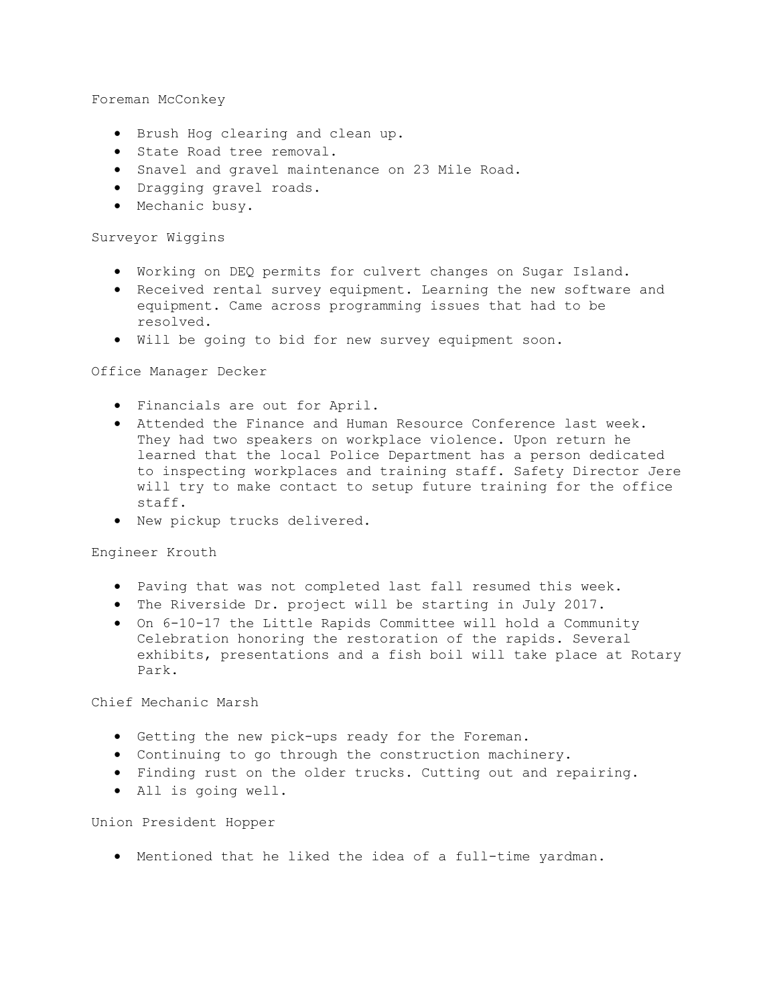Foreman McConkey

- Brush Hog clearing and clean up.
- State Road tree removal.
- Snavel and gravel maintenance on 23 Mile Road.
- Dragging gravel roads.
- Mechanic busy.

# Surveyor Wiggins

- Working on DEQ permits for culvert changes on Sugar Island.
- Received rental survey equipment. Learning the new software and equipment. Came across programming issues that had to be resolved.
- Will be going to bid for new survey equipment soon.

## Office Manager Decker

- Financials are out for April.
- Attended the Finance and Human Resource Conference last week. They had two speakers on workplace violence. Upon return he learned that the local Police Department has a person dedicated to inspecting workplaces and training staff. Safety Director Jere will try to make contact to setup future training for the office staff.
- New pickup trucks delivered.

# Engineer Krouth

- Paving that was not completed last fall resumed this week.
- The Riverside Dr. project will be starting in July 2017.
- On 6-10-17 the Little Rapids Committee will hold a Community Celebration honoring the restoration of the rapids. Several exhibits, presentations and a fish boil will take place at Rotary Park.

Chief Mechanic Marsh

- Getting the new pick-ups ready for the Foreman.
- Continuing to go through the construction machinery.
- Finding rust on the older trucks. Cutting out and repairing.
- All is going well.

Union President Hopper

• Mentioned that he liked the idea of a full-time yardman.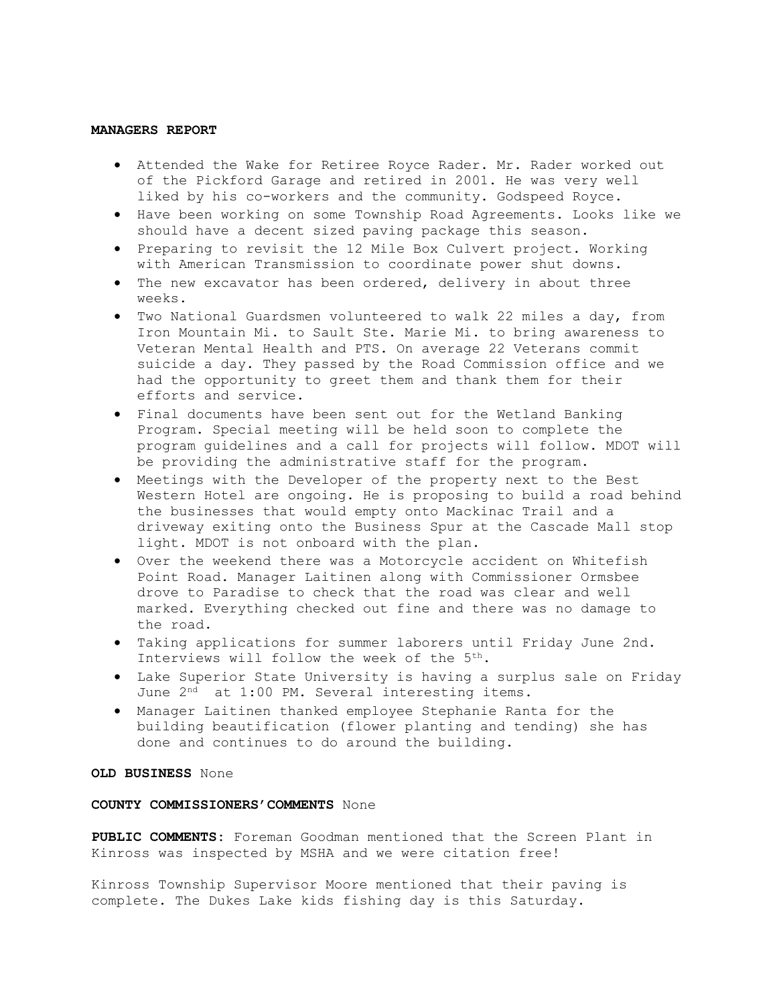#### **MANAGERS REPORT**

- Attended the Wake for Retiree Royce Rader. Mr. Rader worked out of the Pickford Garage and retired in 2001. He was very well liked by his co-workers and the community. Godspeed Royce.
- Have been working on some Township Road Agreements. Looks like we should have a decent sized paving package this season.
- Preparing to revisit the 12 Mile Box Culvert project. Working with American Transmission to coordinate power shut downs.
- The new excavator has been ordered, delivery in about three weeks.
- Two National Guardsmen volunteered to walk 22 miles a day, from Iron Mountain Mi. to Sault Ste. Marie Mi. to bring awareness to Veteran Mental Health and PTS. On average 22 Veterans commit suicide a day. They passed by the Road Commission office and we had the opportunity to greet them and thank them for their efforts and service.
- Final documents have been sent out for the Wetland Banking Program. Special meeting will be held soon to complete the program guidelines and a call for projects will follow. MDOT will be providing the administrative staff for the program.
- Meetings with the Developer of the property next to the Best Western Hotel are ongoing. He is proposing to build a road behind the businesses that would empty onto Mackinac Trail and a driveway exiting onto the Business Spur at the Cascade Mall stop light. MDOT is not onboard with the plan.
- Over the weekend there was a Motorcycle accident on Whitefish Point Road. Manager Laitinen along with Commissioner Ormsbee drove to Paradise to check that the road was clear and well marked. Everything checked out fine and there was no damage to the road.
- Taking applications for summer laborers until Friday June 2nd. Interviews will follow the week of the 5<sup>th</sup>.
- Lake Superior State University is having a surplus sale on Friday June 2<sup>nd</sup> at 1:00 PM. Several interesting items.
- Manager Laitinen thanked employee Stephanie Ranta for the building beautification (flower planting and tending) she has done and continues to do around the building.

## **OLD BUSINESS** None

### **COUNTY COMMISSIONERS'COMMENTS** None

**PUBLIC COMMENTS:** Foreman Goodman mentioned that the Screen Plant in Kinross was inspected by MSHA and we were citation free!

Kinross Township Supervisor Moore mentioned that their paving is complete. The Dukes Lake kids fishing day is this Saturday.